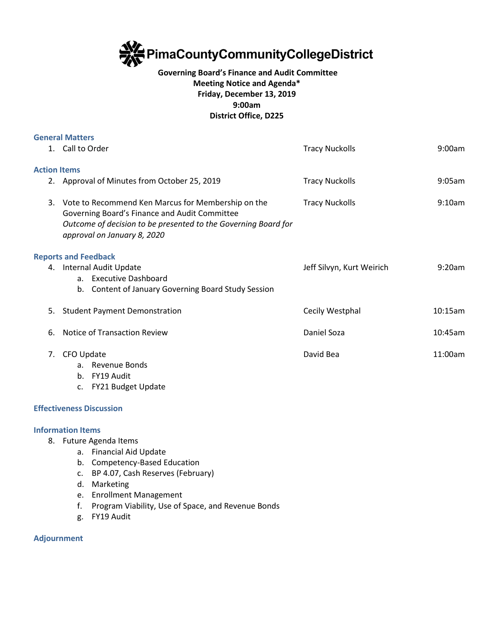

## **Governing Board's Finance and Audit Committee Meeting Notice and Agenda\* Friday, December 13, 2019 9:00am District Office, D225**

|                     | <b>General Matters</b>                                                                                                                                                                                  |                           |           |
|---------------------|---------------------------------------------------------------------------------------------------------------------------------------------------------------------------------------------------------|---------------------------|-----------|
|                     | 1. Call to Order                                                                                                                                                                                        | <b>Tracy Nuckolls</b>     | 9:00am    |
| <b>Action Items</b> |                                                                                                                                                                                                         |                           |           |
|                     | 2. Approval of Minutes from October 25, 2019                                                                                                                                                            | <b>Tracy Nuckolls</b>     | $9:05$ am |
|                     | 3. Vote to Recommend Ken Marcus for Membership on the<br>Governing Board's Finance and Audit Committee<br>Outcome of decision to be presented to the Governing Board for<br>approval on January 8, 2020 | <b>Tracy Nuckolls</b>     | 9:10am    |
|                     | <b>Reports and Feedback</b>                                                                                                                                                                             |                           |           |
|                     | 4. Internal Audit Update<br>a. Executive Dashboard<br><b>Content of January Governing Board Study Session</b><br>b.                                                                                     | Jeff Silvyn, Kurt Weirich | 9:20am    |
| 5.                  | <b>Student Payment Demonstration</b>                                                                                                                                                                    | Cecily Westphal           | 10:15am   |
| 6.                  | Notice of Transaction Review                                                                                                                                                                            | Daniel Soza               | 10:45am   |
| 7.                  | CFO Update<br>a. Revenue Bonds<br>FY19 Audit<br>b.<br>c. FY21 Budget Update                                                                                                                             | David Bea                 | 11:00am   |
|                     |                                                                                                                                                                                                         |                           |           |

## **Effectiveness Discussion**

## **Information Items**

- 8. Future Agenda Items
	- a. Financial Aid Update
	- b. Competency-Based Education
	- c. BP 4.07, Cash Reserves (February)
	- d. Marketing
	- e. Enrollment Management
	- f. Program Viability, Use of Space, and Revenue Bonds
	- g. FY19 Audit

## **Adjournment**